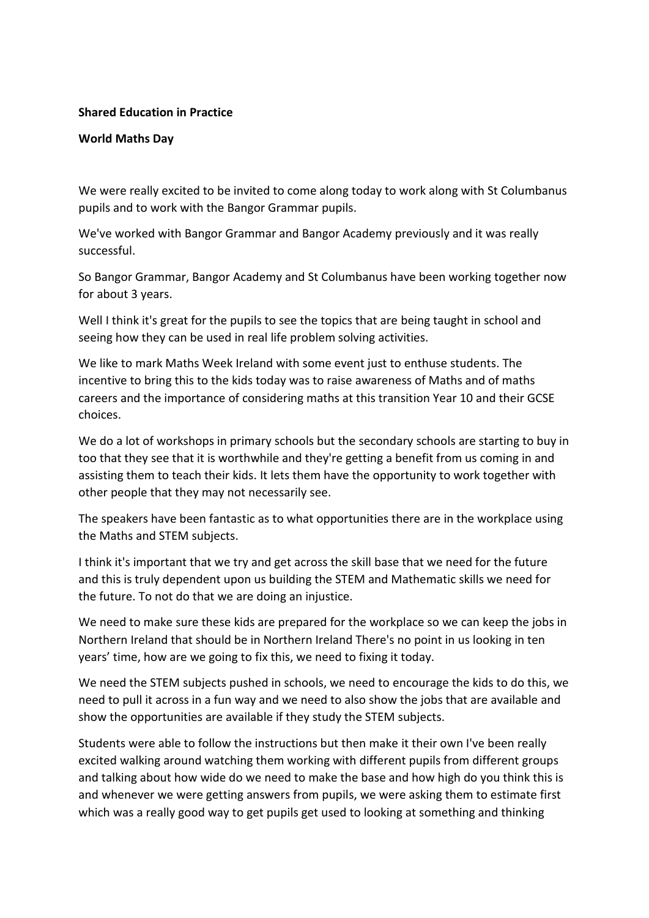## **Shared Education in Practice**

## **World Maths Day**

We were really excited to be invited to come along today to work along with St Columbanus pupils and to work with the Bangor Grammar pupils.

We've worked with Bangor Grammar and Bangor Academy previously and it was really successful.

So Bangor Grammar, Bangor Academy and St Columbanus have been working together now for about 3 years.

Well I think it's great for the pupils to see the topics that are being taught in school and seeing how they can be used in real life problem solving activities.

We like to mark Maths Week Ireland with some event just to enthuse students. The incentive to bring this to the kids today was to raise awareness of Maths and of maths careers and the importance of considering maths at this transition Year 10 and their GCSE choices.

We do a lot of workshops in primary schools but the secondary schools are starting to buy in too that they see that it is worthwhile and they're getting a benefit from us coming in and assisting them to teach their kids. It lets them have the opportunity to work together with other people that they may not necessarily see.

The speakers have been fantastic as to what opportunities there are in the workplace using the Maths and STEM subjects.

I think it's important that we try and get across the skill base that we need for the future and this is truly dependent upon us building the STEM and Mathematic skills we need for the future. To not do that we are doing an injustice.

We need to make sure these kids are prepared for the workplace so we can keep the jobs in Northern Ireland that should be in Northern Ireland There's no point in us looking in ten years' time, how are we going to fix this, we need to fixing it today.

We need the STEM subjects pushed in schools, we need to encourage the kids to do this, we need to pull it across in a fun way and we need to also show the jobs that are available and show the opportunities are available if they study the STEM subjects.

Students were able to follow the instructions but then make it their own I've been really excited walking around watching them working with different pupils from different groups and talking about how wide do we need to make the base and how high do you think this is and whenever we were getting answers from pupils, we were asking them to estimate first which was a really good way to get pupils get used to looking at something and thinking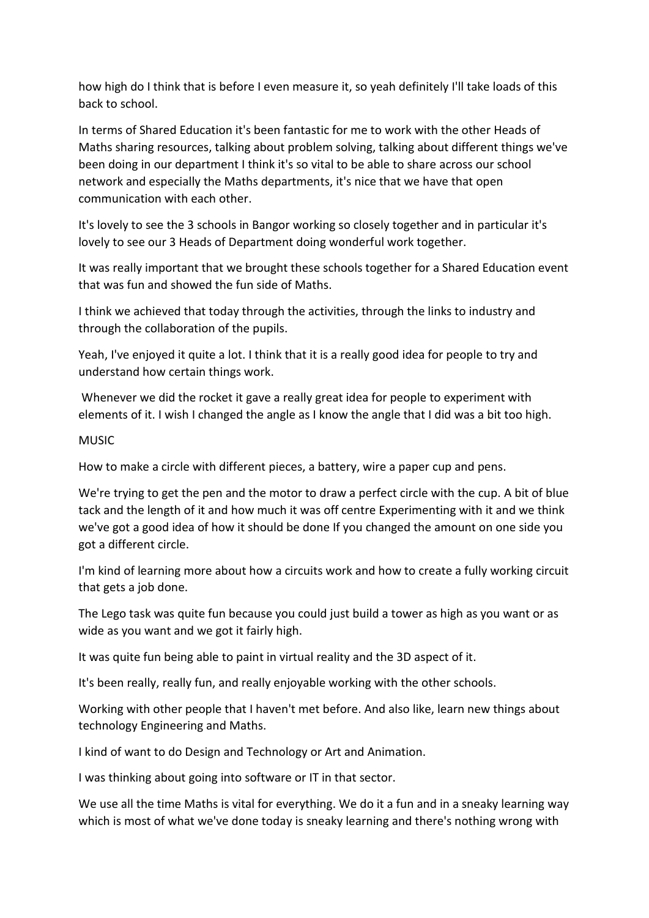how high do I think that is before I even measure it, so yeah definitely I'll take loads of this back to school.

In terms of Shared Education it's been fantastic for me to work with the other Heads of Maths sharing resources, talking about problem solving, talking about different things we've been doing in our department I think it's so vital to be able to share across our school network and especially the Maths departments, it's nice that we have that open communication with each other.

It's lovely to see the 3 schools in Bangor working so closely together and in particular it's lovely to see our 3 Heads of Department doing wonderful work together.

It was really important that we brought these schools together for a Shared Education event that was fun and showed the fun side of Maths.

I think we achieved that today through the activities, through the links to industry and through the collaboration of the pupils.

Yeah, I've enjoyed it quite a lot. I think that it is a really good idea for people to try and understand how certain things work.

Whenever we did the rocket it gave a really great idea for people to experiment with elements of it. I wish I changed the angle as I know the angle that I did was a bit too high.

## MUSIC

How to make a circle with different pieces, a battery, wire a paper cup and pens.

We're trying to get the pen and the motor to draw a perfect circle with the cup. A bit of blue tack and the length of it and how much it was off centre Experimenting with it and we think we've got a good idea of how it should be done If you changed the amount on one side you got a different circle.

I'm kind of learning more about how a circuits work and how to create a fully working circuit that gets a job done.

The Lego task was quite fun because you could just build a tower as high as you want or as wide as you want and we got it fairly high.

It was quite fun being able to paint in virtual reality and the 3D aspect of it.

It's been really, really fun, and really enjoyable working with the other schools.

Working with other people that I haven't met before. And also like, learn new things about technology Engineering and Maths.

I kind of want to do Design and Technology or Art and Animation.

I was thinking about going into software or IT in that sector.

We use all the time Maths is vital for everything. We do it a fun and in a sneaky learning way which is most of what we've done today is sneaky learning and there's nothing wrong with